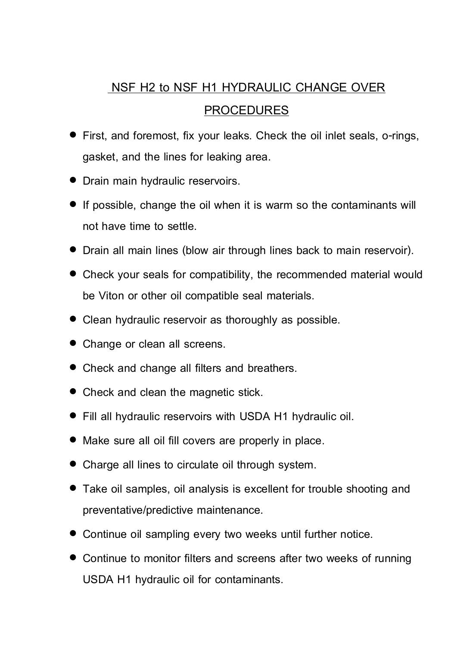## **NSF H2 to NSF H1 HYDRAULIC CHANGE OVER**

## **PROCEDURES**

- **First, and foremost, fix your leaks. Check the oil inlet seals, o-rings, gasket, and the lines for leaking area.**
- **Drain main hydraulic reservoirs.**
- **If possible, change the oil when it is warm so the contaminants will not have time to settle.**
- **Drain all main lines (blow air through lines back to main reservoir).**
- **Check your seals for compatibility, the recommended material would be Viton or other oil compatible seal materials.**
- **Clean hydraulic reservoir as thoroughly as possible.**
- **Change or clean all screens.**
- **Check and change all filters and breathers.**
- **Check and clean the magnetic stick.**
- **Fill all hydraulic reservoirs with USDA H1 hydraulic oil.**
- **Make sure all oil fill covers are properly in place.**
- **Charge all lines to circulate oil through system.**
- **Take oil samples, oil analysis is excellent for trouble shooting and preventative/predictive maintenance.**
- **Continue oil sampling every two weeks until further notice.**
- **Continue to monitor filters and screens after two weeks of running USDA H1 hydraulic oil for contaminants.**